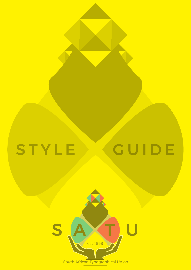# STYLE GUIDE

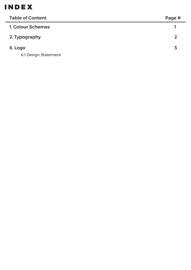### INDEX

| <b>Table of Content</b> | Page #         |
|-------------------------|----------------|
| 1. Colour Schemes       |                |
| 2. Typography           | $\overline{2}$ |
| 6. Logo                 |                |
| 6.1 Design Statement    |                |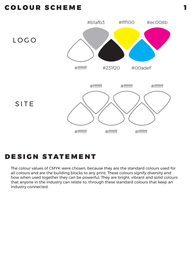### COLOUR SCHEME



# DESIGN STATEMENT

The colour values of CMYK were chosen, because they are the standard colours used for all colours and are the building blocks to any print, These colours signify diversity and how when used together they can be powerful. They are bright, vibrant and solid colours that anyone in the industry can relate to, through these standard colours that keep an industry connected.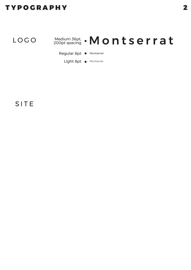### TYPOGRAPHY 2



#### SITE